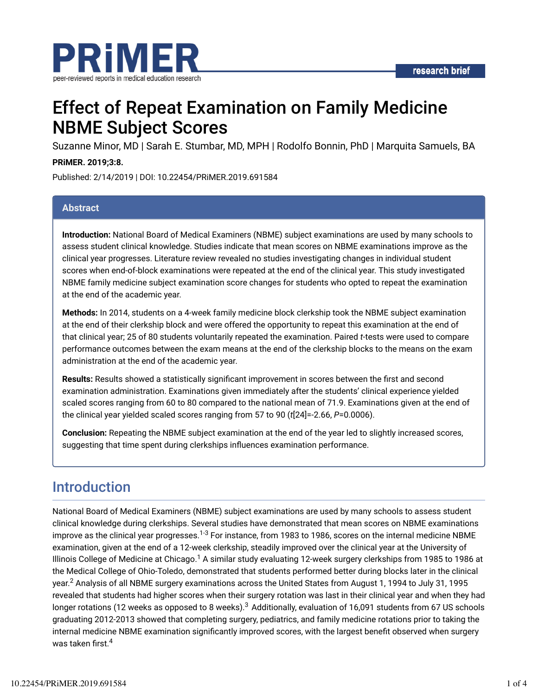

# Effect of Repeat Examination on Family Medicine NBME Subject Scores

Suzanne Minor, MD | Sarah E. Stumbar, MD, MPH | Rodolfo Bonnin, PhD | Marquita Samuels, BA

#### **PRiMER. 2019;3:8.**

Published: 2/14/2019 | DOI: 10.22454/PRiMER.2019.691584

#### **Abstract**

**Introduction:** National Board of Medical Examiners (NBME) subject examinations are used by many schools to assess student clinical knowledge. Studies indicate that mean scores on NBME examinations improve as the clinical year progresses. Literature review revealed no studies investigating changes in individual student scores when end-of-block examinations were repeated at the end of the clinical year. This study investigated NBME family medicine subject examination score changes for students who opted to repeat the examination at the end of the academic year.

**Methods:** In 2014, students on a 4-week family medicine block clerkship took the NBME subject examination at the end of their clerkship block and were offered the opportunity to repeat this examination at the end of that clinical year; 25 of 80 students voluntarily repeated the examination. Paired *t*-tests were used to compare performance outcomes between the exam means at the end of the clerkship blocks to the means on the exam administration at the end of the academic year.

Results: Results showed a statistically significant improvement in scores between the first and second examination administration. Examinations given immediately after the students' clinical experience yielded scaled scores ranging from 60 to 80 compared to the national mean of 71.9. Examinations given at the end of the clinical year yielded scaled scores ranging from 57 to 90 (*t*[24]=-2.66, *P*=0.0006).

**Conclusion:** Repeating the NBME subject examination at the end of the year led to slightly increased scores, suggesting that time spent during clerkships influences examination performance.

## Introduction

National Board of Medical Examiners (NBME) subject examinations are used by many schools to assess student clinical knowledge during clerkships. Several studies have demonstrated that mean scores on NBME examinations improve as the clinical year progresses.<sup>1-3</sup> For instance, from 1983 to 1986, scores on the internal medicine NBME examination, given at the end of a 12-week clerkship, steadily improved over the clinical year at the University of Illinois College of Medicine at Chicago. $^1$  A similar study evaluating 12-week surgery clerkships from 1985 to 1986 at the Medical College of Ohio-Toledo, demonstrated that students performed better during blocks later in the clinical year. $^2$  Analysis of all NBME surgery examinations across the United States from August 1, 1994 to July 31, 1995 revealed that students had higher scores when their surgery rotation was last in their clinical year and when they had longer rotations (12 weeks as opposed to 8 weeks). $^3$  Additionally, evaluation of 16,091 students from 67 US schools graduating 2012-2013 showed that completing surgery, pediatrics, and family medicine rotations prior to taking the internal medicine NBME examination significantly improved scores, with the largest benefit observed when surgery was taken first. $^4$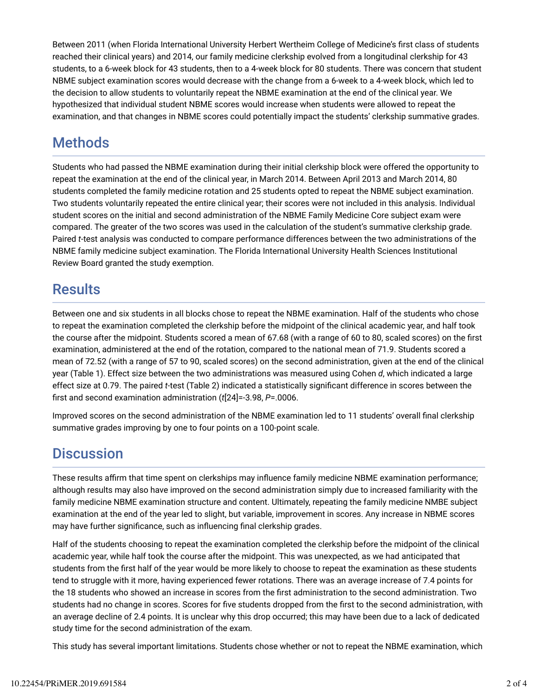Between 2011 (when Florida International University Herbert Wertheim College of Medicine's first class of students reached their clinical years) and 2014, our family medicine clerkship evolved from a longitudinal clerkship for 43 students, to a 6-week block for 43 students, then to a 4-week block for 80 students. There was concern that student NBME subject examination scores would decrease with the change from a 6-week to a 4-week block, which led to the decision to allow students to voluntarily repeat the NBME examination at the end of the clinical year. We hypothesized that individual student NBME scores would increase when students were allowed to repeat the examination, and that changes in NBME scores could potentially impact the students' clerkship summative grades.

## **Methods**

Students who had passed the NBME examination during their initial clerkship block were offered the opportunity to repeat the examination at the end of the clinical year, in March 2014. Between April 2013 and March 2014, 80 students completed the family medicine rotation and 25 students opted to repeat the NBME subject examination. Two students voluntarily repeated the entire clinical year; their scores were not included in this analysis. Individual student scores on the initial and second administration of the NBME Family Medicine Core subject exam were compared. The greater of the two scores was used in the calculation of the student's summative clerkship grade. Paired *t*-test analysis was conducted to compare performance differences between the two administrations of the NBME family medicine subject examination. The Florida International University Health Sciences Institutional Review Board granted the study exemption.

## **Results**

Between one and six students in all blocks chose to repeat the NBME examination. Half of the students who chose to repeat the examination completed the clerkship before the midpoint of the clinical academic year, and half took the course after the midpoint. Students scored a mean of 67.68 (with a range of 60 to 80, scaled scores) on the first examination, administered at the end of the rotation, compared to the national mean of 71.9. Students scored a mean of 72.52 (with a range of 57 to 90, scaled scores) on the second administration, given at the end of the clinical year (Table 1). Effect size between the two administrations was measured using Cohen *d*, which indicated a large effect size at 0.79. The paired *t*-test (Table 2) indicated a statistically significant difference in scores between the [rst and second examination administration (*t*[24]=-3.98, *P*=.0006.

Improved scores on the second administration of the NBME examination led to 11 students' overall final clerkship summative grades improving by one to four points on a 100-point scale.

## **Discussion**

These results affirm that time spent on clerkships may influence family medicine NBME examination performance; although results may also have improved on the second administration simply due to increased familiarity with the family medicine NBME examination structure and content. Ultimately, repeating the family medicine NMBE subject examination at the end of the year led to slight, but variable, improvement in scores. Any increase in NBME scores may have further significance, such as influencing final clerkship grades.

Half of the students choosing to repeat the examination completed the clerkship before the midpoint of the clinical academic year, while half took the course after the midpoint. This was unexpected, as we had anticipated that students from the [rst half of the year would be more likely to choose to repeat the examination as these students tend to struggle with it more, having experienced fewer rotations. There was an average increase of 7.4 points for the 18 students who showed an increase in scores from the first administration to the second administration. Two students had no change in scores. Scores for five students dropped from the first to the second administration, with an average decline of 2.4 points. It is unclear why this drop occurred; this may have been due to a lack of dedicated study time for the second administration of the exam.

This study has several important limitations. Students chose whether or not to repeat the NBME examination, which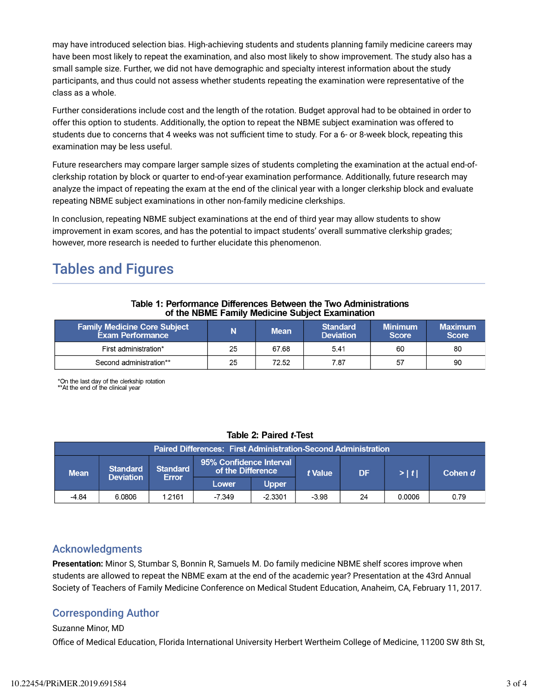may have introduced selection bias. High-achieving students and students planning family medicine careers may have been most likely to repeat the examination, and also most likely to show improvement. The study also has a small sample size. Further, we did not have demographic and specialty interest information about the study participants, and thus could not assess whether students repeating the examination were representative of the class as a whole.

Further considerations include cost and the length of the rotation. Budget approval had to be obtained in order to offer this option to students. Additionally, the option to repeat the NBME subject examination was offered to students due to concerns that 4 weeks was not sufficient time to study. For a 6- or 8-week block, repeating this examination may be less useful.

Future researchers may compare larger sample sizes of students completing the examination at the actual end-ofclerkship rotation by block or quarter to end-of-year examination performance. Additionally, future research may analyze the impact of repeating the exam at the end of the clinical year with a longer clerkship block and evaluate repeating NBME subject examinations in other non-family medicine clerkships.

In conclusion, repeating NBME subject examinations at the end of third year may allow students to show improvement in exam scores, and has the potential to impact students' overall summative clerkship grades; however, more research is needed to further elucidate this phenomenon.

## Tables and Figures

#### Table 1: Performance Differences Between the Two Administrations of the NBME Family Medicine Subject Examination

| <b>Family Medicine Core Subject</b><br>Exam Performance |    | <b>Mean</b> | <b>Standard</b><br><b>Deviation</b> | <b>Minimum</b><br><b>Score</b> | Maximum<br><b>Score</b> |
|---------------------------------------------------------|----|-------------|-------------------------------------|--------------------------------|-------------------------|
| First administration*                                   | 25 | 67.68       | 5.41                                | 60                             | 80                      |
| Second administration**                                 | 25 | 72.52       | 7.87                                | 57                             | 90                      |

\*On the last day of the clerkship rotation<br>\*\*At the end of the clinical year

### Table 2: Paired t-Test

| <b>Paired Differences: First Administration-Second Administration</b> |                 |                                              |        |              |         |           |         |      |  |
|-----------------------------------------------------------------------|-----------------|----------------------------------------------|--------|--------------|---------|-----------|---------|------|--|
| <b>Standard</b><br><b>Mean</b><br><b>Deviation</b>                    | <b>Standard</b> | 95% Confidence Interval<br>of the Difference |        | t Value      | DF      | $>$ $ t $ | Cohen d |      |  |
|                                                                       |                 | Error                                        | Lower  | <b>Upper</b> |         |           |         |      |  |
| $-484$                                                                | 6.0806          | 1.2161                                       | -7.349 | $-2.3301$    | $-3.98$ | 24        | 0.0006  | 0.79 |  |

### Acknowledgments

**Presentation:** Minor S, Stumbar S, Bonnin R, Samuels M. Do family medicine NBME shelf scores improve when students are allowed to repeat the NBME exam at the end of the academic year? Presentation at the 43rd Annual Society of Teachers of Family Medicine Conference on Medical Student Education, Anaheim, CA, February 11, 2017.

## Corresponding Author

#### Suzanne Minor, MD

Office of Medical Education, Florida International University Herbert Wertheim College of Medicine, 11200 SW 8th St,